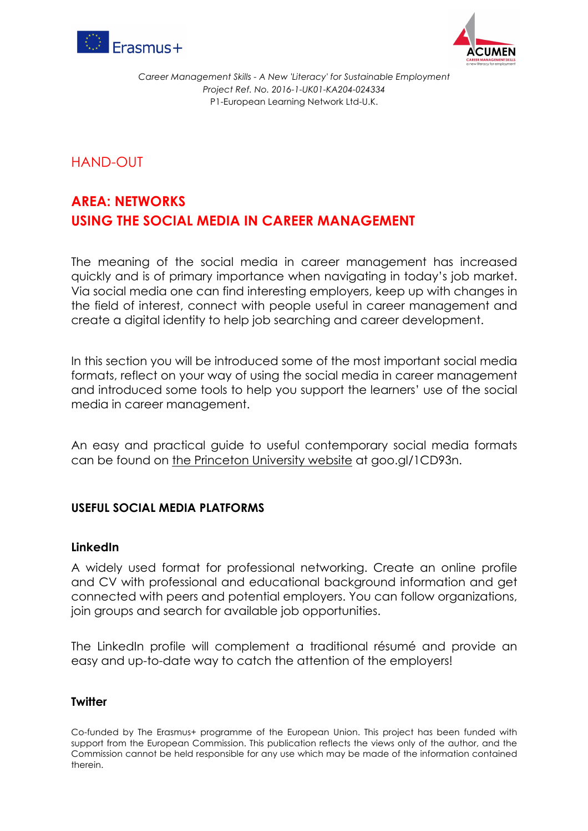



*Career Management Skills - A New 'Literacy' for Sustainable Employment Project Ref. No. 2016-1-UK01-KA204-024334* P1-European Learning Network Ltd-U.K.

HAND-OUT

# **AREA: NETWORKS USING THE SOCIAL MEDIA IN CAREER MANAGEMENT**

The meaning of the social media in career management has increased quickly and is of primary importance when navigating in today's job market. Via social media one can find interesting employers, keep up with changes in the field of interest, connect with people useful in career management and create a digital identity to help job searching and career development.

In this section you will be introduced some of the most important social media formats, reflect on your way of using the social media in career management and introduced some tools to help you support the learners' use of the social media in career management.

An easy and practical guide to useful contemporary social media formats can be found on the Princeton University website at goo.gl/1CD93n.

## **USEFUL SOCIAL MEDIA PLATFORMS**

### **LinkedIn**

A widely used format for professional networking. Create an online profile and CV with professional and educational background information and get connected with peers and potential employers. You can follow organizations, join groups and search for available job opportunities.

The LinkedIn profile will complement a traditional résumé and provide an easy and up-to-date way to catch the attention of the employers!

#### **Twitter**

Co-funded by The Erasmus+ programme of the European Union. This project has been funded with support from the European Commission. This publication reflects the views only of the author, and the Commission cannot be held responsible for any use which may be made of the information contained therein.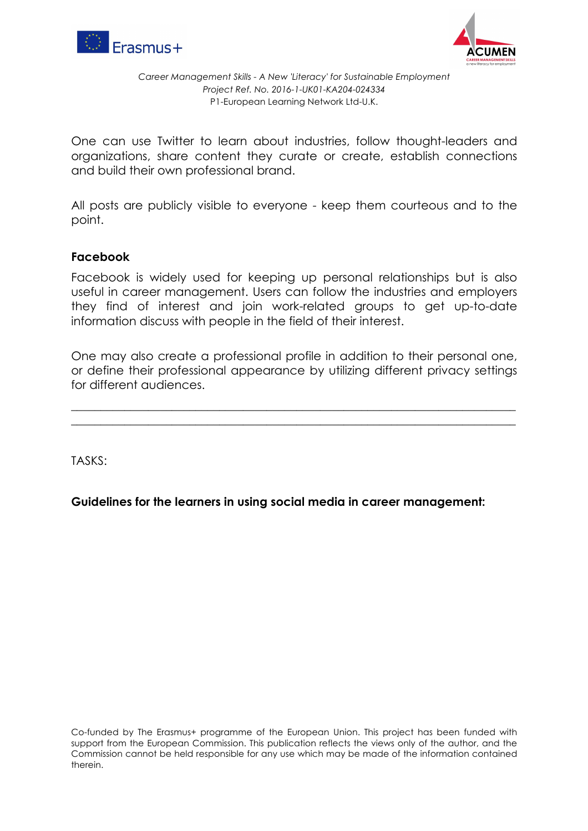



*Career Management Skills - A New 'Literacy' for Sustainable Employment Project Ref. No. 2016-1-UK01-KA204-024334* P1-European Learning Network Ltd-U.K.

One can use Twitter to learn about industries, follow thought-leaders and organizations, share content they curate or create, establish connections and build their own professional brand.

All posts are publicly visible to everyone - keep them courteous and to the point.

### **Facebook**

Facebook is widely used for keeping up personal relationships but is also useful in career management. Users can follow the industries and employers they find of interest and join work-related groups to get up-to-date information discuss with people in the field of their interest.

One may also create a professional profile in addition to their personal one, or define their professional appearance by utilizing different privacy settings for different audiences.

 $\_$  , and the set of the set of the set of the set of the set of the set of the set of the set of the set of the set of the set of the set of the set of the set of the set of the set of the set of the set of the set of th  $\_$  , and the set of the set of the set of the set of the set of the set of the set of the set of the set of the set of the set of the set of the set of the set of the set of the set of the set of the set of the set of th

TASKS:

**Guidelines for the learners in using social media in career management:**

Co-funded by The Erasmus+ programme of the European Union. This project has been funded with support from the European Commission. This publication reflects the views only of the author, and the Commission cannot be held responsible for any use which may be made of the information contained therein.